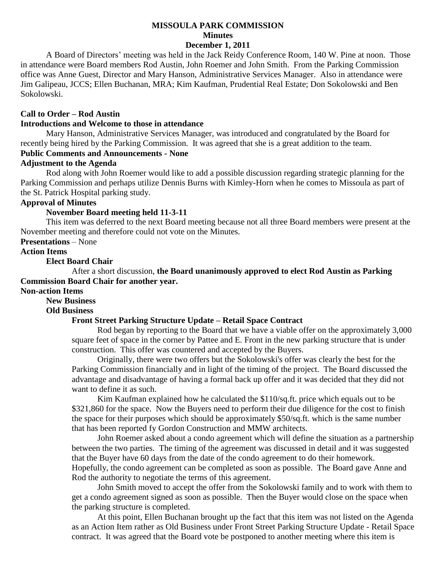# **MISSOULA PARK COMMISSION Minutes**

# **December 1, 2011**

A Board of Directors' meeting was held in the Jack Reidy Conference Room, 140 W. Pine at noon. Those in attendance were Board members Rod Austin, John Roemer and John Smith. From the Parking Commission office was Anne Guest, Director and Mary Hanson, Administrative Services Manager. Also in attendance were Jim Galipeau, JCCS; Ellen Buchanan, MRA; Kim Kaufman, Prudential Real Estate; Don Sokolowski and Ben Sokolowski.

#### **Call to Order – Rod Austin**

#### **Introductions and Welcome to those in attendance**

Mary Hanson, Administrative Services Manager, was introduced and congratulated by the Board for recently being hired by the Parking Commission. It was agreed that she is a great addition to the team. **Public Comments and Announcements - None**

**Adjustment to the Agenda**

Rod along with John Roemer would like to add a possible discussion regarding strategic planning for the Parking Commission and perhaps utilize Dennis Burns with Kimley-Horn when he comes to Missoula as part of the St. Patrick Hospital parking study.

# **Approval of Minutes**

### **November Board meeting held 11-3-11**

This item was deferred to the next Board meeting because not all three Board members were present at the November meeting and therefore could not vote on the Minutes.

#### **Presentations** – None

# **Action Items**

#### **Elect Board Chair**

After a short discussion, **the Board unanimously approved to elect Rod Austin as Parking Commission Board Chair for another year.**

## **Non-action Items**

**New Business**

### **Old Business**

### **Front Street Parking Structure Update – Retail Space Contract**

Rod began by reporting to the Board that we have a viable offer on the approximately 3,000 square feet of space in the corner by Pattee and E. Front in the new parking structure that is under construction. This offer was countered and accepted by the Buyers.

Originally, there were two offers but the Sokolowski's offer was clearly the best for the Parking Commission financially and in light of the timing of the project. The Board discussed the advantage and disadvantage of having a formal back up offer and it was decided that they did not want to define it as such.

Kim Kaufman explained how he calculated the \$110/sq.ft. price which equals out to be \$321,860 for the space. Now the Buyers need to perform their due diligence for the cost to finish the space for their purposes which should be approximately \$50/sq.ft. which is the same number that has been reported fy Gordon Construction and MMW architects.

John Roemer asked about a condo agreement which will define the situation as a partnership between the two parties. The timing of the agreement was discussed in detail and it was suggested that the Buyer have 60 days from the date of the condo agreement to do their homework. Hopefully, the condo agreement can be completed as soon as possible. The Board gave Anne and Rod the authority to negotiate the terms of this agreement.

John Smith moved to accept the offer from the Sokolowski family and to work with them to get a condo agreement signed as soon as possible. Then the Buyer would close on the space when the parking structure is completed.

At this point, Ellen Buchanan brought up the fact that this item was not listed on the Agenda as an Action Item rather as Old Business under Front Street Parking Structure Update - Retail Space contract. It was agreed that the Board vote be postponed to another meeting where this item is